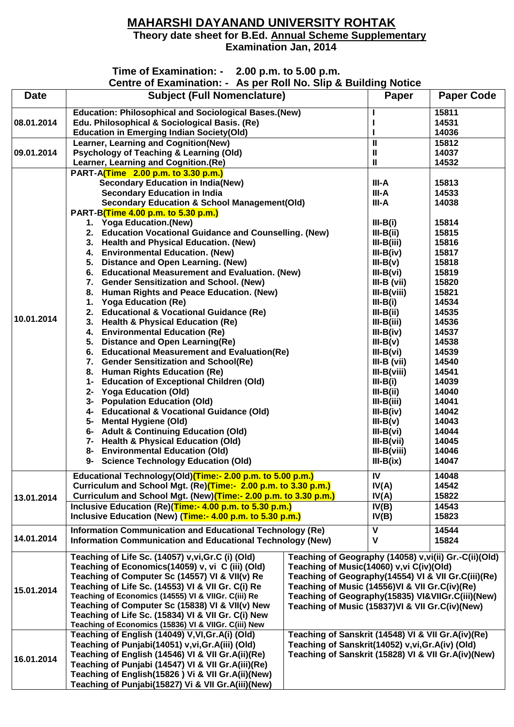## **MAHARSHI DAYANAND UNIVERSITY ROHTAK**

**Theory date sheet for B.Ed. Annual Scheme Supplementary**

**Examination Jan, 2014**

## **Time of Examination: - 2.00 p.m. to 5.00 p.m.**

**Centre of Examination: - As per Roll No. Slip & Building Notice**

|             | Centre of Examination. $-$ As per Kon No. Silp $\alpha$ Bunding Notice                                        |                                                      |                                                     |                   |  |
|-------------|---------------------------------------------------------------------------------------------------------------|------------------------------------------------------|-----------------------------------------------------|-------------------|--|
| <b>Date</b> | <b>Subject (Full Nomenclature)</b>                                                                            |                                                      | Paper                                               | <b>Paper Code</b> |  |
|             | <b>Education: Philosophical and Sociological Bases. (New)</b>                                                 |                                                      |                                                     | 15811             |  |
| 08.01.2014  | Edu. Philosophical & Sociological Basis. (Re)                                                                 |                                                      |                                                     | 14531             |  |
|             | <b>Education in Emerging Indian Society(Old)</b>                                                              |                                                      |                                                     | 14036             |  |
|             | Learner, Learning and Cognition(New)                                                                          |                                                      | Ш                                                   | 15812             |  |
| 09.01.2014  | <b>Psychology of Teaching &amp; Learning (Old)</b>                                                            |                                                      | Ш                                                   | 14037             |  |
|             | Learner, Learning and Cognition.(Re)                                                                          |                                                      | Ш                                                   | 14532             |  |
|             | PART-ACTime 2.00 p.m. to 3.30 p.m.)<br><b>Secondary Education in India(New)</b>                               |                                                      | III-A                                               | 15813             |  |
| 10.01.2014  | <b>Secondary Education in India</b>                                                                           |                                                      | III-A                                               | 14533             |  |
|             | <b>Secondary Education &amp; School Management(Old)</b>                                                       |                                                      | III-A                                               | 14038             |  |
|             | PART-B(Time 4.00 p.m. to 5.30 p.m.)                                                                           |                                                      |                                                     |                   |  |
|             | 1. Yoga Education.(New)                                                                                       |                                                      | $III-B(i)$                                          | 15814             |  |
|             | 2. Education Vocational Guidance and Counselling. (New)                                                       | $III-B(ii)$                                          | 15815                                               |                   |  |
|             | 3. Health and Physical Education. (New)                                                                       |                                                      | $III-B(iii)$                                        | 15816             |  |
|             | 4. Environmental Education. (New)                                                                             |                                                      | $III-B(iv)$                                         | 15817             |  |
|             | Distance and Open Learning. (New)<br>5.                                                                       |                                                      | $III-B(v)$                                          | 15818             |  |
|             | <b>Educational Measurement and Evaluation. (New)</b><br>6.                                                    |                                                      | $III-B(vi)$                                         | 15819             |  |
|             | <b>Gender Sensitization and School. (New)</b><br>7.                                                           | $III-B (vii)$                                        | 15820                                               |                   |  |
|             | Human Rights and Peace Education. (New)<br>8.                                                                 |                                                      | $III-B(viii)$                                       | 15821             |  |
|             | <b>Yoga Education (Re)</b><br>1.                                                                              |                                                      | $III-B(i)$                                          | 14534             |  |
|             | <b>Educational &amp; Vocational Guidance (Re)</b><br>2.                                                       |                                                      | $III-B(ii)$                                         | 14535             |  |
|             | <b>Health &amp; Physical Education (Re)</b><br>3.                                                             |                                                      | $III-B(iii)$                                        | 14536             |  |
|             | <b>Environmental Education (Re)</b><br>4.                                                                     |                                                      | $III-B(iv)$                                         | 14537             |  |
|             | <b>Distance and Open Learning(Re)</b><br>5.                                                                   |                                                      | $III-B(v)$                                          | 14538             |  |
|             | 6. Educational Measurement and Evaluation(Re)                                                                 |                                                      | $III-B(vi)$                                         | 14539             |  |
|             | <b>Gender Sensitization and School(Re)</b><br>7.                                                              |                                                      | III-B (vii)                                         | 14540             |  |
|             | 8. Human Rights Education (Re)                                                                                |                                                      | $III-B(viii)$                                       | 14541             |  |
|             | 1- Education of Exceptional Children (Old)<br>$2 -$                                                           |                                                      | $III-B(i)$<br>$III-B(ii)$                           | 14039<br>14040    |  |
|             | <b>Yoga Education (Old)</b><br>3- Population Education (Old)                                                  |                                                      | $III-B(iii)$                                        | 14041             |  |
|             | 4- Educational & Vocational Guidance (Old)                                                                    | $III-B(iv)$                                          | 14042                                               |                   |  |
|             | <b>Mental Hygiene (Old)</b><br>5-                                                                             | $III-B(v)$                                           | 14043                                               |                   |  |
|             | 6- Adult & Continuing Education (Old)                                                                         | $III-B(vi)$                                          | 14044                                               |                   |  |
|             | 7- Health & Physical Education (Old)                                                                          |                                                      | $III-B(vii)$                                        | 14045             |  |
|             | 8- Environmental Education (Old)                                                                              |                                                      | $III-B(viii)$                                       | 14046             |  |
|             | 9- Science Technology Education (Old)                                                                         |                                                      | $III-B(ix)$                                         | 14047             |  |
|             | Educational Technology(Old) <sup>(Time:- 2.00</sup> p.m. to 5.00 p.m.)                                        |                                                      | IV                                                  | 14048             |  |
|             | Curriculum and School Mgt. (Re)(Time:- 2.00 p.m. to 3.30 p.m.)                                                |                                                      | IV(A)                                               | 14542             |  |
| 13.01.2014  | Curriculum and School Mgt. (New)(Time:- 2.00 p.m. to 3.30 p.m.)                                               |                                                      | IV(A)                                               | 15822             |  |
|             | Inclusive Education (Re)(Time:- 4.00 p.m. to 5.30 p.m.)                                                       |                                                      | IV(B)                                               | 14543             |  |
|             | Inclusive Education (New) (Time:- 4.00 p.m. to 5.30 p.m.)                                                     |                                                      | IV(B)                                               | 15823             |  |
|             | Information Communication and Educational Technology (Re)                                                     |                                                      | V                                                   | 14544             |  |
| 14.01.2014  | <b>Information Communication and Educational Technology (New)</b>                                             |                                                      | V                                                   | 15824             |  |
|             | Teaching of Geography (14058) v, vi(ii) Gr.-C(ii)(Old)<br>Teaching of Life Sc. (14057) v, vi, Gr. C (i) (Old) |                                                      |                                                     |                   |  |
| 15.01.2014  | Teaching of Economics(14059) v, vi C (iii) (Old)<br>Teaching of Music(14060) v, vi C(iv)(Old)                 |                                                      |                                                     |                   |  |
|             | Teaching of Computer Sc (14557) VI & VII(v) Re                                                                |                                                      | Teaching of Geography(14554) VI & VII Gr.C(iii)(Re) |                   |  |
|             | Teaching of Life Sc. (14553) VI & VII Gr. C(i) Re                                                             |                                                      | Teaching of Music (14556)VI & VII Gr.C(iv)(Re)      |                   |  |
|             | Teaching of Economics (14555) VI & VIIGr. C(iii) Re                                                           |                                                      | Teaching of Geography(15835) VI&VIIGr.C(iii)(New)   |                   |  |
|             | Teaching of Computer Sc (15838) VI & VII(v) New                                                               |                                                      | Teaching of Music (15837)VI & VII Gr.C(iv)(New)     |                   |  |
|             | Teaching of Life Sc. (15834) VI & VII Gr. C(i) New                                                            |                                                      |                                                     |                   |  |
|             | Teaching of Economics (15836) VI & VIIGr. C(iii) New                                                          |                                                      |                                                     |                   |  |
| 16.01.2014  | Teaching of English (14049) V, VI, Gr. A(i) (Old)                                                             | Teaching of Sanskrit (14548) VI & VII Gr. A(iv) (Re) |                                                     |                   |  |
|             | Teaching of Punjabi(14051) v, vi, Gr. A(iii) (Old)                                                            |                                                      | Teaching of Sanskrit(14052) v, vi, Gr. A(iv) (Old)  |                   |  |
|             | Teaching of English (14546) VI & VII Gr.A(ii)(Re)<br>Teaching of Sanskrit (15828) VI & VII Gr.A(iv)(New)      |                                                      |                                                     |                   |  |
|             | Teaching of Punjabi (14547) VI & VII Gr. A(iii) (Re)                                                          |                                                      |                                                     |                   |  |
|             | Teaching of English(15826) Vi & VII Gr.A(ii)(New)                                                             |                                                      |                                                     |                   |  |
|             | Teaching of Punjabi(15827) Vi & VII Gr.A(iii)(New)                                                            |                                                      |                                                     |                   |  |